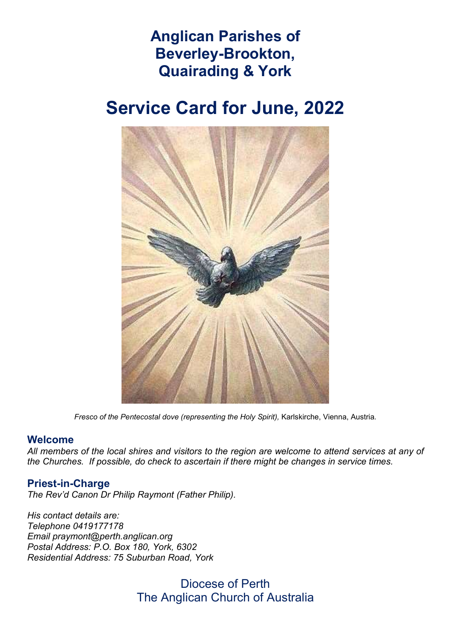## Anglican Parishes of Beverley-Brookton, Quairading & York

# Service Card for June, 2022



Fresco of the Pentecostal dove (representing the Holy Spirit), Karlskirche, Vienna, Austria.

#### Welcome

All members of the local shires and visitors to the region are welcome to attend services at any of the Churches. If possible, do check to ascertain if there might be changes in service times.

### Priest-in-Charge

The Rev'd Canon Dr Philip Raymont (Father Philip).

His contact details are: Telephone 0419177178 Email praymont@perth.anglican.org Postal Address: P.O. Box 180, York, 6302 Residential Address: 75 Suburban Road, York

> Diocese of Perth The Anglican Church of Australia